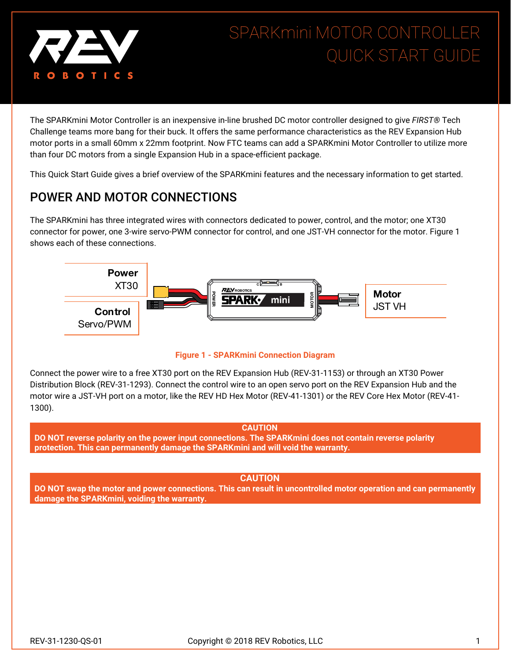

# SPARKmini MOTOR CONTROLLER QUICK START GUIDE

The SPARKmini Motor Controller is an inexpensive in-line brushed DC motor controller designed to give *FIRST®* Tech Challenge teams more bang for their buck. It offers the same performance characteristics as the REV Expansion Hub motor ports in a small 60mm x 22mm footprint. Now FTC teams can add a SPARKmini Motor Controller to utilize more than four DC motors from a single Expansion Hub in a space-efficient package.

This Quick Start Guide gives a brief overview of the SPARKmini features and the necessary information to get started.

## POWER AND MOTOR CONNECTIONS

The SPARKmini has three integrated wires with connectors dedicated to power, control, and the motor; one XT30 connector for power, one 3-wire servo-PWM connector for control, and one JST-VH connector for the motor. Figure 1 shows each of these connections.





Connect the power wire to a free XT30 port on the REV Expansion Hub (REV-31-1153) or through an XT30 Power Distribution Block (REV-31-1293). Connect the control wire to an open servo port on the REV Expansion Hub and the motor wire a JST-VH port on a motor, like the REV HD Hex Motor (REV-41-1301) or the REV Core Hex Motor (REV-41- 1300).

#### **CAUTION**

**DO NOT reverse polarity on the power input connections. The SPARKmini does not contain reverse polarity protection. This can permanently damage the SPARKmini and will void the warranty.**

#### **CAUTION**

**DO NOT swap the motor and power connections. This can result in uncontrolled motor operation and can permanently damage the SPARKmini, voiding the warranty.**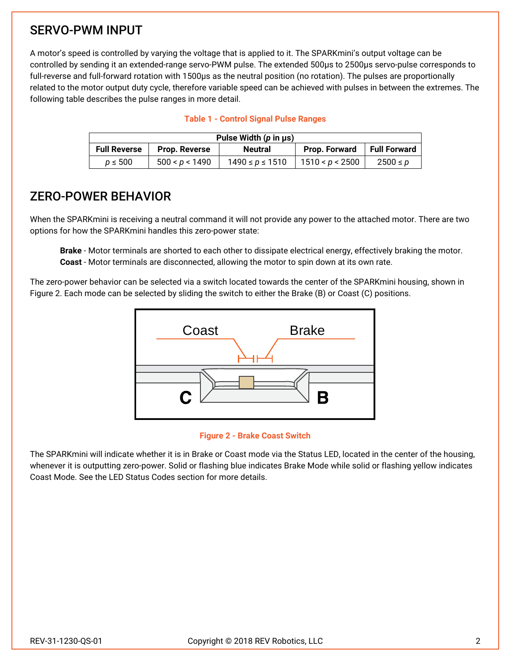## SERVO-PWM INPUT

A motor's speed is controlled by varying the voltage that is applied to it. The SPARKmini's output voltage can be controlled by sending it an extended-range servo-PWM pulse. The extended 500µs to 2500µs servo-pulse corresponds to full-reverse and full-forward rotation with 1500µs as the neutral position (no rotation). The pulses are proportionally related to the motor output duty cycle, therefore variable speed can be achieved with pulses in between the extremes. The following table describes the pulse ranges in more detail.

| Pulse Width $(p \text{ in } \mu s)$ |                      |                       |                 |              |  |  |  |  |
|-------------------------------------|----------------------|-----------------------|-----------------|--------------|--|--|--|--|
| <b>Full Reverse</b>                 | <b>Prop. Reverse</b> | <b>Neutral</b>        | Prop. Forward   | Full Forward |  |  |  |  |
| $p \leq 500$                        | 500 < p < 1490       | $1490 \le p \le 1510$ | 1510 < p < 2500 | $2500 \le p$ |  |  |  |  |

#### **Table 1 - Control Signal Pulse Ranges**

### ZERO-POWER BEHAVIOR

When the SPARKmini is receiving a neutral command it will not provide any power to the attached motor. There are two options for how the SPARKmini handles this zero-power state:

**Brake** - Motor terminals are shorted to each other to dissipate electrical energy, effectively braking the motor. **Coast** - Motor terminals are disconnected, allowing the motor to spin down at its own rate.

The zero-power behavior can be selected via a switch located towards the center of the SPARKmini housing, shown in Figure 2. Each mode can be selected by sliding the switch to either the Brake (B) or Coast (C) positions.



#### **Figure 2 - Brake Coast Switch**

The SPARKmini will indicate whether it is in Brake or Coast mode via the Status LED, located in the center of the housing, whenever it is outputting zero-power. Solid or flashing blue indicates Brake Mode while solid or flashing yellow indicates Coast Mode. See the LED Status Codes section for more details.